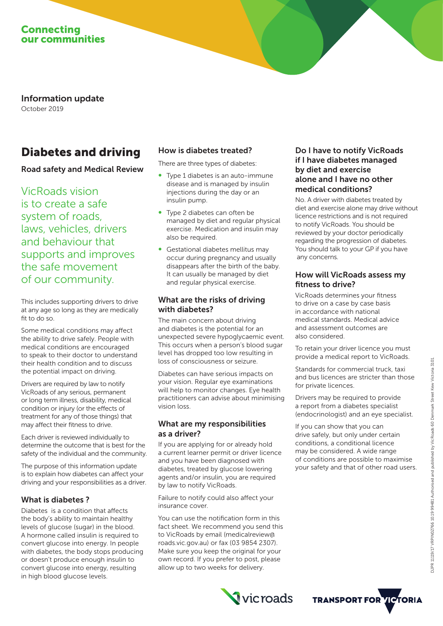

Information update October 2019

# Diabetes and driving

# Road safety and Medical Review

VicRoads vision is to create a safe system of roads, laws, vehicles, drivers and behaviour that supports and improves the safe movement of our community.

This includes supporting drivers to drive at any age so long as they are medically fit to do so.

Some medical conditions may affect the ability to drive safely. People with medical conditions are encouraged to speak to their doctor to understand their health condition and to discuss the potential impact on driving.

Drivers are required by law to notify VicRoads of any serious, permanent or long term illness, disability, medical condition or injury (or the effects of treatment for any of those things) that may affect their fitness to drive.

Each driver is reviewed individually to determine the outcome that is best for the safety of the individual and the community.

The purpose of this information update is to explain how diabetes can affect your driving and your responsibilities as a driver.

## What is diabetes ?

Diabetes is a condition that affects the body's ability to maintain healthy levels of glucose (sugar) in the blood. A hormone called insulin is required to convert glucose into energy. In people with diabetes, the body stops producing or doesn't produce enough insulin to convert glucose into energy, resulting in high blood glucose levels.

# How is diabetes treated?

There are three types of diabetes:

- ∞ Type 1 diabetes is an auto-immune disease and is managed by insulin injections during the day or an insulin pump.
- ∞ Type 2 diabetes can often be managed by diet and regular physical exercise. Medication and insulin may also be required.
- Gestational diabetes mellitus may occur during pregnancy and usually disappears after the birth of the baby. It can usually be managed by diet and regular physical exercise.

#### What are the risks of driving with diabetes?

The main concern about driving and diabetes is the potential for an unexpected severe hypoglycaemic event. This occurs when a person's blood sugar level has dropped too low resulting in loss of consciousness or seizure.

Diabetes can have serious impacts on your vision. Regular eye examinations will help to monitor changes. Eye health practitioners can advise about minimising vision loss.

## What are my responsibilities as a driver?

If you are applying for or already hold a current learner permit or driver licence and you have been diagnosed with diabetes, treated by glucose lowering agents and/or insulin, you are required by law to notify VicRoads.

Failure to notify could also affect your insurance cover.

You can use the notification form in this fact sheet. We recommend you send this to VicRoads by email (medicalreview@ roads.vic.gov.au) or fax (03 9854 2307). Make sure you keep the original for your own record. If you prefer to post, please allow up to two weeks for delivery.

#### Do I have to notify VicRoads if I have diabetes managed by diet and exercise alone and I have no other medical conditions?

No. A driver with diabetes treated by diet and exercise alone may drive without licence restrictions and is not required to notify VicRoads. You should be reviewed by your doctor periodically regarding the progression of diabetes. You should talk to your GP if you have any concerns.

#### How will VicRoads assess my fitness to drive?

VicRoads determines your fitness to drive on a case by case basis in accordance with national medical standards. Medical advice and assessment outcomes are also considered.

To retain your driver licence you must provide a medical report to VicRoads.

Standards for commercial truck, taxi and bus licences are stricter than those for private licences.

Drivers may be required to provide a report from a diabetes specialist (endocrinologist) and an eye specialist.

If you can show that you can drive safely, but only under certain conditions, a conditional licence may be considered. A wide range of conditions are possible to maximise your safety and that of other road users.